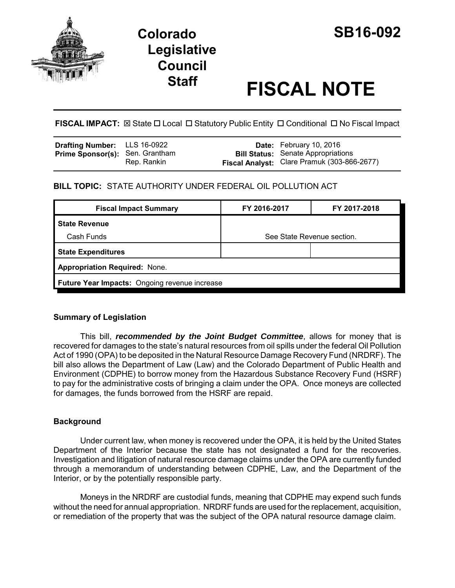

# **Staff FISCAL NOTE**

**FISCAL IMPACT:** ⊠ State □ Local □ Statutory Public Entity □ Conditional □ No Fiscal Impact

| <b>Drafting Number:</b> LLS 16-0922    |             | <b>Date:</b> February 10, 2016                                                           |
|----------------------------------------|-------------|------------------------------------------------------------------------------------------|
| <b>Prime Sponsor(s): Sen. Grantham</b> | Rep. Rankin | <b>Bill Status:</b> Senate Appropriations<br>Fiscal Analyst: Clare Pramuk (303-866-2677) |
|                                        |             |                                                                                          |

## **BILL TOPIC:** STATE AUTHORITY UNDER FEDERAL OIL POLLUTION ACT

| FY 2016-2017                                  | FY 2017-2018 |  |  |  |
|-----------------------------------------------|--------------|--|--|--|
|                                               |              |  |  |  |
| See State Revenue section.                    |              |  |  |  |
|                                               |              |  |  |  |
| <b>Appropriation Required: None.</b>          |              |  |  |  |
| Future Year Impacts: Ongoing revenue increase |              |  |  |  |
|                                               |              |  |  |  |

## **Summary of Legislation**

This bill, *recommended by the Joint Budget Committee*, allows for money that is recovered for damages to the state's natural resources from oil spills under the federal Oil Pollution Act of 1990 (OPA) to be deposited in the Natural Resource Damage Recovery Fund (NRDRF). The bill also allows the Department of Law (Law) and the Colorado Department of Public Health and Environment (CDPHE) to borrow money from the Hazardous Substance Recovery Fund (HSRF) to pay for the administrative costs of bringing a claim under the OPA. Once moneys are collected for damages, the funds borrowed from the HSRF are repaid.

## **Background**

Under current law, when money is recovered under the OPA, it is held by the United States Department of the Interior because the state has not designated a fund for the recoveries. Investigation and litigation of natural resource damage claims under the OPA are currently funded through a memorandum of understanding between CDPHE, Law, and the Department of the Interior, or by the potentially responsible party.

Moneys in the NRDRF are custodial funds, meaning that CDPHE may expend such funds without the need for annual appropriation. NRDRF funds are used for the replacement, acquisition, or remediation of the property that was the subject of the OPA natural resource damage claim.